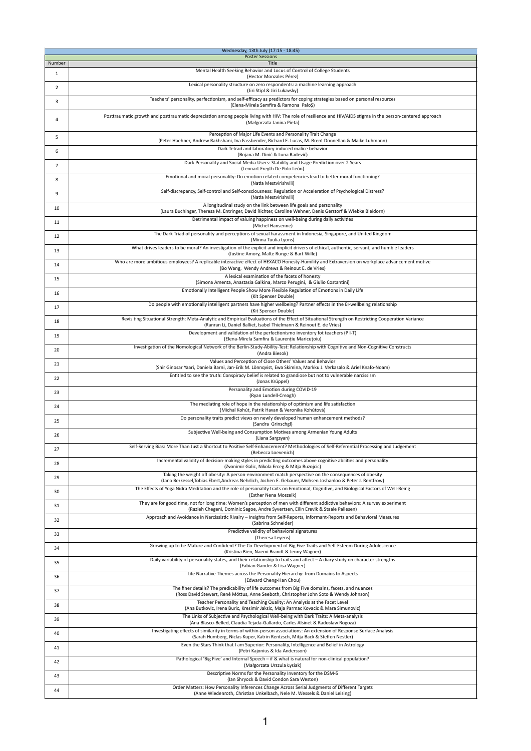|                | Wednesday, 13th July (17:15 - 18:45)                                                                                                                                                                                      |
|----------------|---------------------------------------------------------------------------------------------------------------------------------------------------------------------------------------------------------------------------|
| Number         | <b>Poster Sessions</b><br><b>Title</b>                                                                                                                                                                                    |
| $\mathbf{1}$   | Mental Health Seeking Behavior and Locus of Control of College Students<br>(Hector Monzales Pérez)                                                                                                                        |
| $\overline{2}$ | Lexical personality structure on zero respondents: a machine learning approach<br>(Jiri Stipl & Jiri Lukavsky)                                                                                                            |
| 3              | Teachers' personality, perfectionism, and self-efficacy as predictors for coping strategies based on personal resources<br>(Elena-Mirela Samfira & Ramona PaloS)                                                          |
| 4              | Posttraumatic growth and posttraumatic depreciation among people living with HIV: The role of resilience and HIV/AIDS stigma in the person-centered approach<br>(Małgorzata Janina Pieta)                                 |
| 5              | Perception of Major Life Events and Personality Trait Change<br>(Peter Haehner, Andrew Rakhshani, Ina Fassbender, Richard E. Lucas, M. Brent Donnellan & Maike Luhmann)                                                   |
| 6              | Dark Tetrad and laboratory-induced malice behavior<br>(Bojana M. Dinić & Luna Radević)                                                                                                                                    |
| $\overline{7}$ | Dark Personality and Social Media Users: Stability and Usage Prediction over 2 Years<br>(Lennart Freyth De Polo León)                                                                                                     |
| 8              | Emotional and moral personality: Do emotion related competencies lead to better moral functioning?<br>(Natia Mestvirishvili)                                                                                              |
| 9              | Self-discrepancy, Self-control and Self-consciousness: Regulation or Acceleration of Psychological Distress?<br>(Natia Mestvirishvili)                                                                                    |
| 10             | A longitudinal study on the link between life goals and personality<br>(Laura Buchinger, Theresa M. Entringer, David Richter, Caroline Wehner, Denis Gerstorf & Wiebke Bleidorn)                                          |
| 11             | Detrimental impact of valuing happiness on well-being during daily activities<br>(Michel Hansenne)                                                                                                                        |
| 12             | The Dark Triad of personality and perceptions of sexual harassment in Indonesia, Singapore, and United Kingdom<br>(Minna Tuulia Lyons)                                                                                    |
| 13             | What drives leaders to be moral? An investigation of the explicit and implicit drivers of ethical, authentic, servant, and humble leaders<br>(Justine Amory, Malte Runge & Bart Wille)                                    |
| 14             | Who are more ambitious employees? A replicable interactive effect of HEXACO Honesty-Humility and Extraversion on workplace advancement motive<br>(Bo Wang, Wendy Andrews & Reinout E. de Vries)                           |
| 15             | A lexical examination of the facets of honesty<br>(Simona Amenta, Anastasia Galkina, Marco Perugini, & Giulio Costantini)                                                                                                 |
| 16             | Emotionally Intelligent People Show More Flexible Regulation of Emotions in Daily Life<br>(Kit Spenser Double)                                                                                                            |
| 17             | Do people with emotionally intelligent partners have higher wellbeing? Partner effects in the EI-wellbeing relationship<br>(Kit Spenser Double)                                                                           |
| 18             | Revisiting Situational Strength: Meta-Analytic and Empirical Evaluations of the Effect of Situational Strength on Restricting Cooperation Variance<br>(Ranran Li, Daniel Balliet, Isabel Thielmann & Reinout E. de Vries) |
| 19             | Development and validation of the perfectionismo inventory fot teachers (P I-T)<br>(Elena-Mirela Samfira & Laurențiu Maricuțoiu)                                                                                          |
| 20             | Investigation of the Nomological Network of the Berlin-Study-Ability-Test: Relationship with Cognitive and Non-Cognitive Constructs<br>(Andra Biesok)                                                                     |
| 21             | Values and Perception of Close Others' Values and Behavior<br>(Shir Ginosar Yaari, Daniela Barni, Jan-Erik M. Lönnqvist, Ewa Skimina, Markku J. Verkasalo & Ariel Knafo-Noam)                                             |
| 22             | Entitled to see the truth: Conspiracy belief is related to grandiose but not to vulnerable narcissism<br>(Jonas Krüppel)                                                                                                  |
| 23             | Personality and Emotion during COVID-19<br>(Ryan Lundell-Creagh)                                                                                                                                                          |
| 24             | The mediating role of hope in the relationship of optimism and life satisfaction<br>(Michal Kohút, Patrik Havan & Veronika Kohútová)                                                                                      |
| 25             | Do personality traits predict views on newly developed human enhancement methods?<br>(Sandra Grinschgl)                                                                                                                   |
| 26             | Subjective Well-being and Consumption Motives among Armenian Young Adults<br>(Liana Sargsyan)                                                                                                                             |
| 27             | Self-Serving Bias: More Than Just a Shortcut to Positive Self-Enhancement? Methodologies of Self-Referential Processing and Judgement<br>(Rebecca Loevenich)                                                              |
| 28             | Incremental validity of decision-making styles in predicting outcomes above cognitive abilities and personality<br>(Zvonimir Galic, Nikola Erceg & Mitja Ruzojcic)                                                        |
| 29             | Taking the weight off obesity: A person-environment match perspective on the consequences of obesity<br>(Jana Berkessel, Tobias Ebert, Andreas Nehrlich, Jochen E. Gebauer, Mohsen Joshanloo & Peter J. Rentfrow)         |
| 30             | The Effects of Yoga Nidra Meditation and the role of personality traits on Emotional, Cognitive, and Biological Factors of Well-Being<br>(Esther Nena Moszeik)                                                            |
| 31             | They are for good time, not for long time: Women's perception of men with different addictive behaviors: A survey experiment<br>(Razieh Chegeni, Dominic Sagoe, Andre Syvertsen, Eilin Erevik & Staale Pallesen)          |
| 32             | Approach and Avoidance in Narcissistic Rivalry - Insights from Self-Reports, Informant-Reports and Behavioral Measures<br>(Sabrina Schneider)                                                                             |
| 33             | Predictive validity of behavioral signatures<br>(Theresa Leyens)                                                                                                                                                          |
| 34             | Growing up to be Mature and Confident? The Co-Development of Big Five Traits and Self-Esteem During Adolescence<br>(Kristina Bien, Naemi Brandt & Jenny Wagner)                                                           |
| 35             | Daily variability of personality states, and their relationship to traits and affect - A diary study on character strengths<br>(Fabian Gander & Lisa Wagner)                                                              |
| 36             | Life Narrative Themes across the Personality Hierarchy: from Domains to Aspects<br>(Edward Cheng-Han Chou)                                                                                                                |
| 37             | The finer details? The predicability of life outcomes from Big Five domains, facets, and nuances<br>(Ross David Stewart, René Möttus, Anne Seeboth, Christopher John Soto & Wendy Johnson)                                |
| 38             | Teacher Personality and Teaching Quality: An Analysis at the Facet Level<br>(Ana Butkovic, Irena Buric, Kresimir Jaksic, Maja Parmac Kovacic & Mara Simunovic)                                                            |
| 39             | The Links of Subjective and Psychological Well-being with Dark Traits: A Meta-analysis<br>(Ana Blasco-Belled, Claudia Tejada-Gallardo, Carles Alsinet & Radosław Rogoza)                                                  |
| 40             | Investigating effects of similarity in terms of within-person associations: An extension of Response Surface Analysis<br>(Sarah Humberg, Niclas Kuper, Katrin Rentzsch, Mitja Back & Steffen Nestler)                     |
| 41             | Even the Stars Think that I am Superior: Personality, Intelligence and Belief in Astrology<br>(Petri Kajonius & Ida Andersson)                                                                                            |
| 42             | Pathological 'Big Five' and Internal Speech - if & what is natural for non-clinical population?<br>(Małgorzata Urszula Łysiak)                                                                                            |
| 43             | Descriptive Norms for the Personality Inventory for the DSM-5<br>(Ian Shryock & David Condon Sara Weston)                                                                                                                 |
| 44             | Order Matters: How Personality Inferences Change Across Serial Judgments of Different Targets<br>(Anne Wiedenroth, Christian Unkelbach, Nele M. Wessels & Daniel Leising)                                                 |